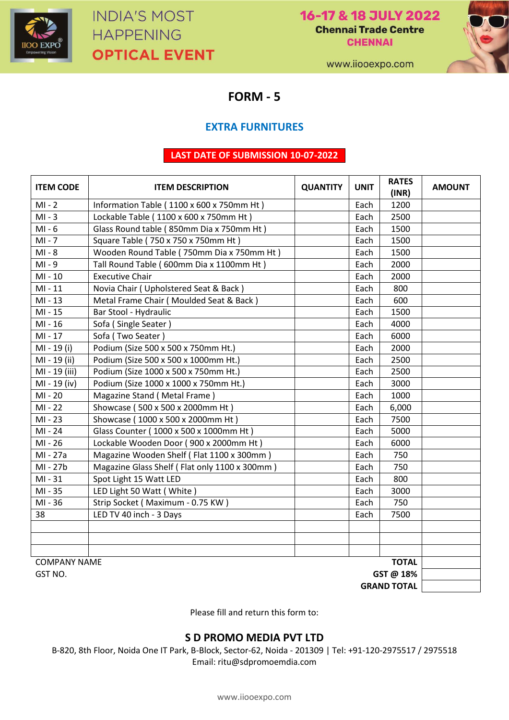

16-17 & 18 JULY 2022 **Chennai Trade Centre CHENNAI** 



www.iiooexpo.com

**FORM - 5**

### **EXTRA FURNITURES**

#### **LAST DATE OF SUBMISSION 10-07-2022**

| <b>ITEM CODE</b>                    | <b>QUANTITY</b><br><b>ITEM DESCRIPTION</b>    |      | <b>UNIT</b>  | <b>RATES</b><br>(INR) | <b>AMOUNT</b> |
|-------------------------------------|-----------------------------------------------|------|--------------|-----------------------|---------------|
| $MI - 2$                            | Information Table (1100 x 600 x 750mm Ht)     |      | Each         | 1200                  |               |
| $MI - 3$                            | Lockable Table (1100 x 600 x 750mm Ht)        |      | Each         | 2500                  |               |
| $MI - 6$                            | Glass Round table (850mm Dia x 750mm Ht)      |      | Each         | 1500                  |               |
| $MI - 7$                            | Square Table (750 x 750 x 750mm Ht)           |      | Each         | 1500                  |               |
| $MI - 8$                            | Wooden Round Table (750mm Dia x 750mm Ht)     |      | Each         | 1500                  |               |
| $MI - 9$                            | Tall Round Table (600mm Dia x 1100mm Ht)      |      | Each         | 2000                  |               |
| $MI - 10$                           | <b>Executive Chair</b>                        |      | 2000<br>Each |                       |               |
| $MI - 11$                           | Novia Chair (Upholstered Seat & Back)         | Each |              | 800                   |               |
| $MI - 13$                           | Metal Frame Chair (Moulded Seat & Back)       |      | Each         | 600                   |               |
| MI-15                               | Bar Stool - Hydraulic                         | Each |              | 1500                  |               |
| MI-16                               | Sofa (Single Seater)                          |      | Each         | 4000                  |               |
| $MI - 17$                           | Sofa (Two Seater)                             |      | Each         | 6000                  |               |
| MI - 19 (i)                         | Podium (Size 500 x 500 x 750mm Ht.)           |      | Each         | 2000                  |               |
| MI - 19 (ii)                        | Podium (Size 500 x 500 x 1000mm Ht.)          |      | Each         | 2500                  |               |
| MI - 19 (iii)                       | Podium (Size 1000 x 500 x 750mm Ht.)          |      | Each         | 2500                  |               |
| MI - 19 (iv)                        | Podium (Size 1000 x 1000 x 750mm Ht.)         |      | Each         | 3000                  |               |
| MI-20                               | Magazine Stand (Metal Frame)                  |      | Each         | 1000                  |               |
| $MI - 22$                           | Showcase (500 x 500 x 2000mm Ht)              |      | Each         | 6,000                 |               |
| MI-23                               | Showcase (1000 x 500 x 2000mm Ht)             |      | Each         | 7500                  |               |
| MI-24                               | Glass Counter (1000 x 500 x 1000mm Ht)        |      | Each         | 5000                  |               |
| MI-26                               | Lockable Wooden Door (900 x 2000mm Ht)        |      | Each         | 6000                  |               |
| MI-27a                              | Magazine Wooden Shelf (Flat 1100 x 300mm)     |      | Each         | 750                   |               |
| MI-27b                              | Magazine Glass Shelf (Flat only 1100 x 300mm) |      | Each         | 750                   |               |
| $MI - 31$                           | Spot Light 15 Watt LED                        |      | Each         | 800                   |               |
| MI-35                               | LED Light 50 Watt (White)                     |      | Each         | 3000                  |               |
| MI-36                               | Strip Socket (Maximum - 0.75 KW)              |      | Each         | 750                   |               |
| 38                                  | LED TV 40 inch - 3 Days                       |      | Each         | 7500                  |               |
|                                     |                                               |      |              |                       |               |
|                                     |                                               |      |              |                       |               |
|                                     |                                               |      |              |                       |               |
| <b>TOTAL</b><br><b>COMPANY NAME</b> |                                               |      |              |                       |               |
| GST @ 18%<br>GST NO.                |                                               |      |              |                       |               |
|                                     |                                               |      |              | <b>GRAND TOTAL</b>    |               |

Please fill and return this form to:

### **S D PROMO MEDIA PVT LTD**

B-820, 8th Floor, Noida One IT Park, B-Block, Sector-62, Noida - 201309 | Tel: +91-120-2975517 / 2975518 Email: ritu@sdpromoemdia.com